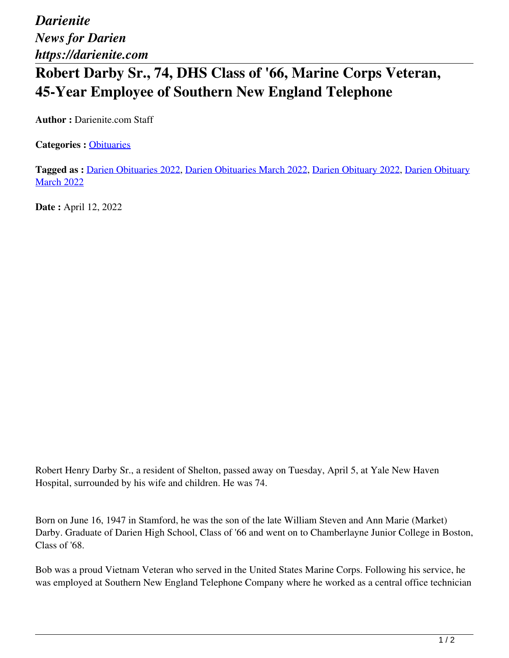*Darienite News for Darien https://darienite.com*

## **Robert Darby Sr., 74, DHS Class of '66, Marine Corps Veteran, 45-Year Employee of Southern New England Telephone**

**Author :** Darienite.com Staff

**Categories :** [Obituaries](https://darienite.com/category/obituaries)

**Tagged as :** Darien Obituaries 2022, Darien Obituaries March 2022, Darien Obituary 2022, Darien Obituary **March 2022** 

**Date :** April 12, 2022

Robert Henry Darby Sr., a resident of Shelton, passed away on Tuesday, April 5, at Yale New Haven Hospital, surrounded by his wife and children. He was 74.

Born on June 16, 1947 in Stamford, he was the son of the late William Steven and Ann Marie (Market) Darby. Graduate of Darien High School, Class of '66 and went on to Chamberlayne Junior College in Boston, Class of '68.

Bob was a proud Vietnam Veteran who served in the United States Marine Corps. Following his service, he was employed at Southern New England Telephone Company where he worked as a central office technician